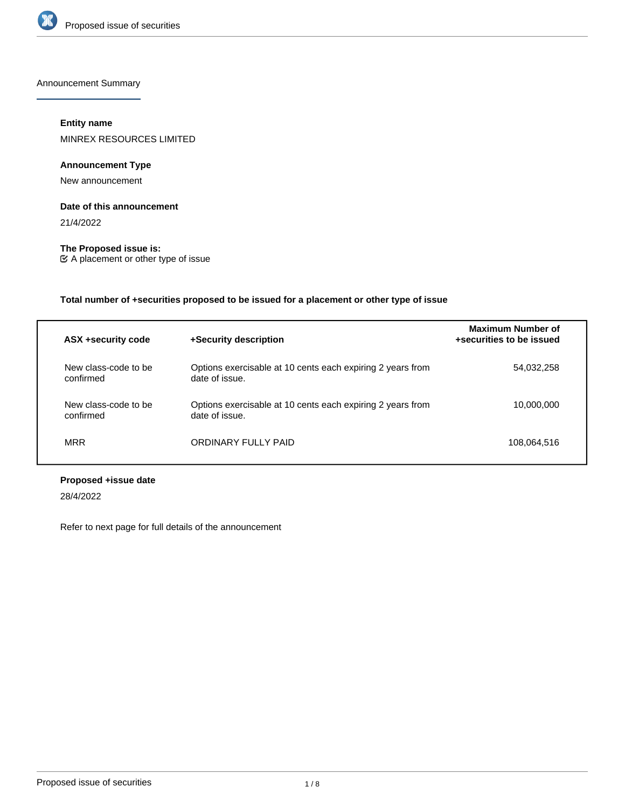

Announcement Summary

# **Entity name**

MINREX RESOURCES LIMITED

# **Announcement Type**

New announcement

## **Date of this announcement**

21/4/2022

**The Proposed issue is:** A placement or other type of issue

**Total number of +securities proposed to be issued for a placement or other type of issue**

| ASX +security code                | +Security description                                                        | Maximum Number of<br>+securities to be issued |
|-----------------------------------|------------------------------------------------------------------------------|-----------------------------------------------|
| New class-code to be<br>confirmed | Options exercisable at 10 cents each expiring 2 years from<br>date of issue. | 54,032,258                                    |
| New class-code to be<br>confirmed | Options exercisable at 10 cents each expiring 2 years from<br>date of issue. | 10.000.000                                    |
| <b>MRR</b>                        | ORDINARY FULLY PAID                                                          | 108,064,516                                   |

# **Proposed +issue date**

28/4/2022

Refer to next page for full details of the announcement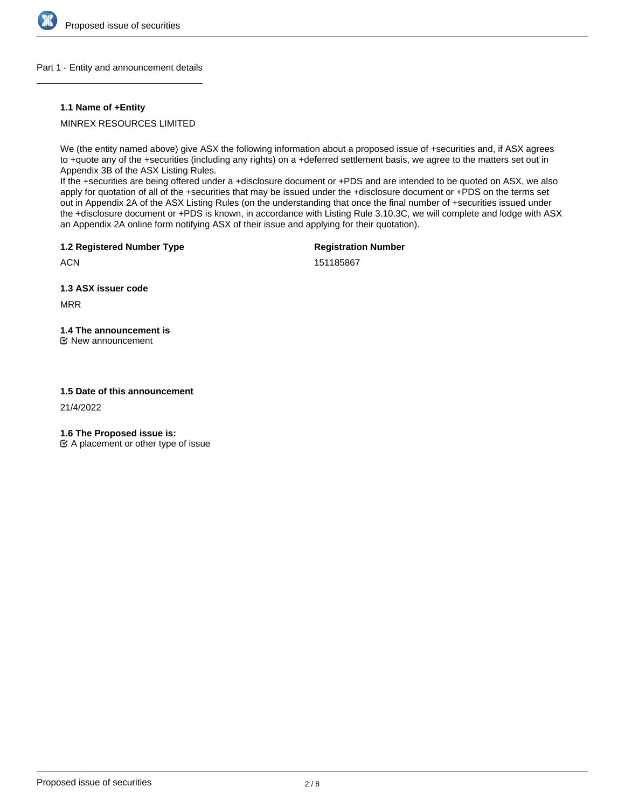

#### Part 1 - Entity and announcement details

#### **1.1 Name of +Entity**

# MINREX RESOURCES LIMITED

We (the entity named above) give ASX the following information about a proposed issue of +securities and, if ASX agrees to +quote any of the +securities (including any rights) on a +deferred settlement basis, we agree to the matters set out in Appendix 3B of the ASX Listing Rules.

If the +securities are being offered under a +disclosure document or +PDS and are intended to be quoted on ASX, we also apply for quotation of all of the +securities that may be issued under the +disclosure document or +PDS on the terms set out in Appendix 2A of the ASX Listing Rules (on the understanding that once the final number of +securities issued under the +disclosure document or +PDS is known, in accordance with Listing Rule 3.10.3C, we will complete and lodge with ASX an Appendix 2A online form notifying ASX of their issue and applying for their quotation).

**1.2 Registered Number Type**

**Registration Number**

151185867

**1.3 ASX issuer code**

MRR

**ACN** 

# **1.4 The announcement is**

New announcement

## **1.5 Date of this announcement**

21/4/2022

**1.6 The Proposed issue is:**

 $\mathfrak{C}$  A placement or other type of issue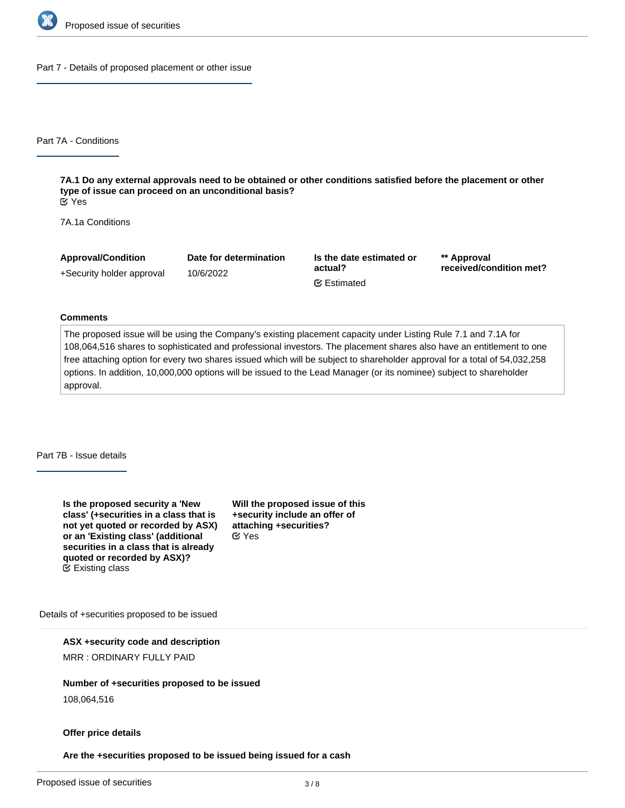

Part 7 - Details of proposed placement or other issue

Part 7A - Conditions

**7A.1 Do any external approvals need to be obtained or other conditions satisfied before the placement or other type of issue can proceed on an unconditional basis?** Yes

7A.1a Conditions

**Approval/Condition** +Security holder approval **Date for determination** 10/6/2022 **Is the date estimated or actual? \*\* Approval received/condition met?** Estimated

#### **Comments**

The proposed issue will be using the Company's existing placement capacity under Listing Rule 7.1 and 7.1A for 108,064,516 shares to sophisticated and professional investors. The placement shares also have an entitlement to one free attaching option for every two shares issued which will be subject to shareholder approval for a total of 54,032,258 options. In addition, 10,000,000 options will be issued to the Lead Manager (or its nominee) subject to shareholder approval.

Part 7B - Issue details

**Is the proposed security a 'New class' (+securities in a class that is not yet quoted or recorded by ASX) or an 'Existing class' (additional securities in a class that is already quoted or recorded by ASX)?** Existing class

**Will the proposed issue of this +security include an offer of attaching +securities?** Yes

Details of +securities proposed to be issued

**ASX +security code and description**

MRR : ORDINARY FULLY PAID

**Number of +securities proposed to be issued**

108,064,516

#### **Offer price details**

**Are the +securities proposed to be issued being issued for a cash**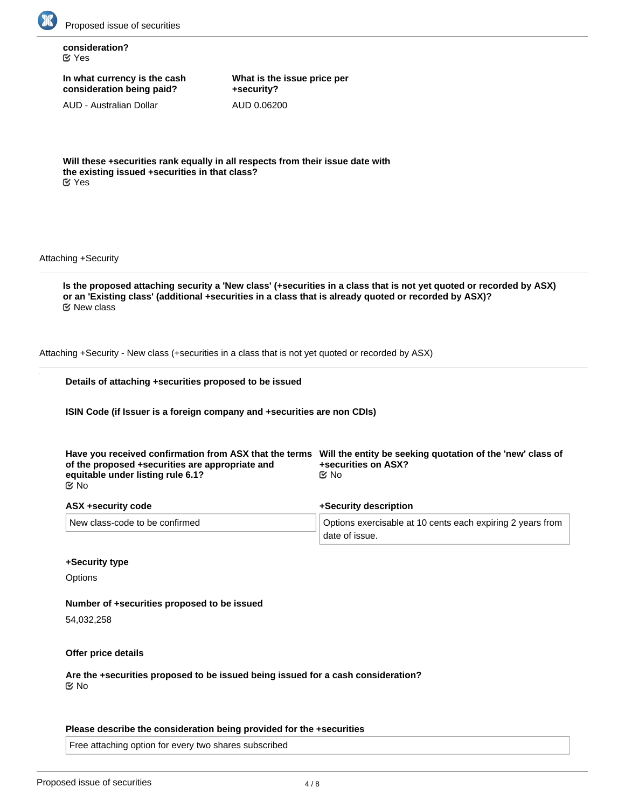

**consideration?** Yes

**In what currency is the cash consideration being paid?**

AUD - Australian Dollar

**What is the issue price per +security?** AUD 0.06200

**Will these +securities rank equally in all respects from their issue date with the existing issued +securities in that class?** Yes

Attaching +Security

**Is the proposed attaching security a 'New class' (+securities in a class that is not yet quoted or recorded by ASX) or an 'Existing class' (additional +securities in a class that is already quoted or recorded by ASX)?** New class

Attaching +Security - New class (+securities in a class that is not yet quoted or recorded by ASX)

| Details of attaching +securities proposed to be issued |  |  |
|--------------------------------------------------------|--|--|
|                                                        |  |  |

**ISIN Code (if Issuer is a foreign company and +securities are non CDIs)**

| of the proposed +securities are appropriate and<br>equitable under listing rule 6.1?<br>ା ⊠ | Have you received confirmation from ASX that the terms Will the entity be seeking quotation of the 'new' class of<br>+securities on ASX?<br>©⁄ No |  |
|---------------------------------------------------------------------------------------------|---------------------------------------------------------------------------------------------------------------------------------------------------|--|
| ASX +security code                                                                          | +Security description                                                                                                                             |  |
| New class-code to be confirmed                                                              | Options exercisable at 10 cents each expiring 2 years from<br>date of issue.                                                                      |  |

#### **+Security type**

**Options** 

**Number of +securities proposed to be issued**

54,032,258

#### **Offer price details**

**Are the +securities proposed to be issued being issued for a cash consideration?** No

#### **Please describe the consideration being provided for the +securities**

Free attaching option for every two shares subscribed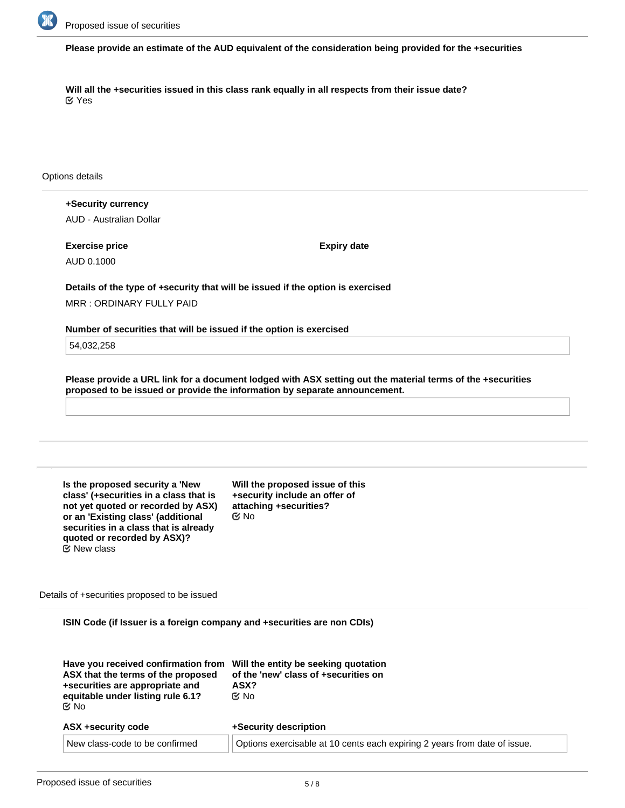

**Please provide an estimate of the AUD equivalent of the consideration being provided for the +securities**

**Will all the +securities issued in this class rank equally in all respects from their issue date?** Yes

Options details

**+Security currency** AUD - Australian Dollar

**Exercise price** AUD 0.1000

**Expiry date**

**Details of the type of +security that will be issued if the option is exercised** MRR : ORDINARY FULLY PAID

**Number of securities that will be issued if the option is exercised**

54,032,258

**Please provide a URL link for a document lodged with ASX setting out the material terms of the +securities proposed to be issued or provide the information by separate announcement.**

**Is the proposed security a 'New class' (+securities in a class that is not yet quoted or recorded by ASX) or an 'Existing class' (additional securities in a class that is already quoted or recorded by ASX)?** New class

**Will the proposed issue of this +security include an offer of attaching +securities?** No

Details of +securities proposed to be issued

**ISIN Code (if Issuer is a foreign company and +securities are non CDIs)**

| Have you received confirmation from<br>ASX that the terms of the proposed<br>+securities are appropriate and<br>equitable under listing rule 6.1?<br>©⁄ No | Will the entity be seeking quotation<br>of the 'new' class of +securities on<br>ASX?<br>tiX No |
|------------------------------------------------------------------------------------------------------------------------------------------------------------|------------------------------------------------------------------------------------------------|
| ASX +security code                                                                                                                                         | +Security description                                                                          |
| New class-code to be confirmed                                                                                                                             | Options exercisable at 10 cents each expiring 2 years from date of issue.                      |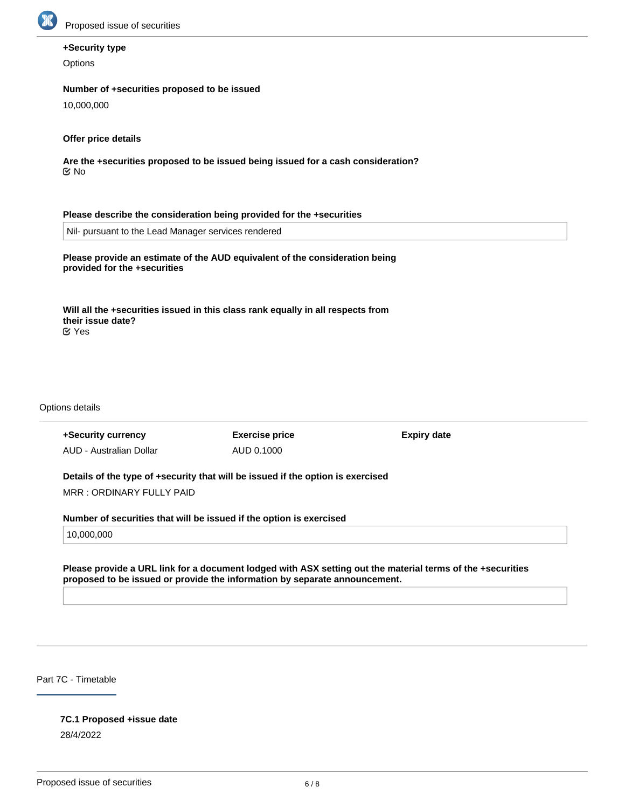

# **+Security type**

**Options** 

## **Number of +securities proposed to be issued**

10,000,000

# **Offer price details**

**Are the +securities proposed to be issued being issued for a cash consideration?** No

#### **Please describe the consideration being provided for the +securities**

Nil- pursuant to the Lead Manager services rendered

# **Please provide an estimate of the AUD equivalent of the consideration being provided for the +securities**

**Will all the +securities issued in this class rank equally in all respects from their issue date?** Yes

Options details

**+Security currency** AUD - Australian Dollar **Exercise price** AUD 0.1000

**Expiry date**

# **Details of the type of +security that will be issued if the option is exercised**

MRR : ORDINARY FULLY PAID

## **Number of securities that will be issued if the option is exercised**

10,000,000

## **Please provide a URL link for a document lodged with ASX setting out the material terms of the +securities proposed to be issued or provide the information by separate announcement.**

Part 7C - Timetable

# **7C.1 Proposed +issue date**

28/4/2022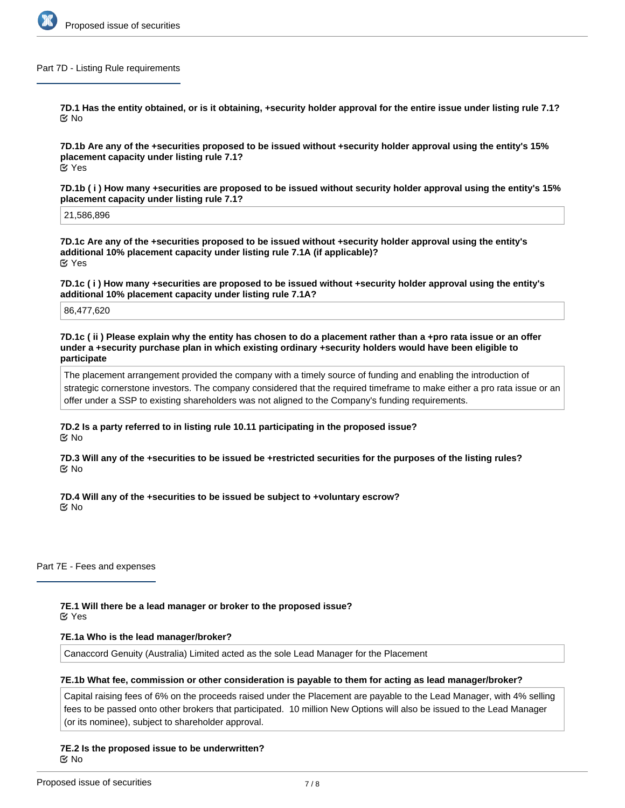

#### Part 7D - Listing Rule requirements

**7D.1 Has the entity obtained, or is it obtaining, +security holder approval for the entire issue under listing rule 7.1? ⊠**No

**7D.1b Are any of the +securities proposed to be issued without +security holder approval using the entity's 15% placement capacity under listing rule 7.1?** Yes

**7D.1b ( i ) How many +securities are proposed to be issued without security holder approval using the entity's 15% placement capacity under listing rule 7.1?**

21,586,896

**7D.1c Are any of the +securities proposed to be issued without +security holder approval using the entity's additional 10% placement capacity under listing rule 7.1A (if applicable)?** Yes

**7D.1c ( i ) How many +securities are proposed to be issued without +security holder approval using the entity's additional 10% placement capacity under listing rule 7.1A?**

86,477,620

**7D.1c ( ii ) Please explain why the entity has chosen to do a placement rather than a +pro rata issue or an offer under a +security purchase plan in which existing ordinary +security holders would have been eligible to participate**

The placement arrangement provided the company with a timely source of funding and enabling the introduction of strategic cornerstone investors. The company considered that the required timeframe to make either a pro rata issue or an offer under a SSP to existing shareholders was not aligned to the Company's funding requirements.

**7D.2 Is a party referred to in listing rule 10.11 participating in the proposed issue?** No

**7D.3 Will any of the +securities to be issued be +restricted securities for the purposes of the listing rules? ⊠**No

**7D.4 Will any of the +securities to be issued be subject to +voluntary escrow?** No

Part 7E - Fees and expenses

**7E.1 Will there be a lead manager or broker to the proposed issue? EX** Yes

## **7E.1a Who is the lead manager/broker?**

Canaccord Genuity (Australia) Limited acted as the sole Lead Manager for the Placement

## **7E.1b What fee, commission or other consideration is payable to them for acting as lead manager/broker?**

Capital raising fees of 6% on the proceeds raised under the Placement are payable to the Lead Manager, with 4% selling fees to be passed onto other brokers that participated. 10 million New Options will also be issued to the Lead Manager (or its nominee), subject to shareholder approval.

**7E.2 Is the proposed issue to be underwritten?** No